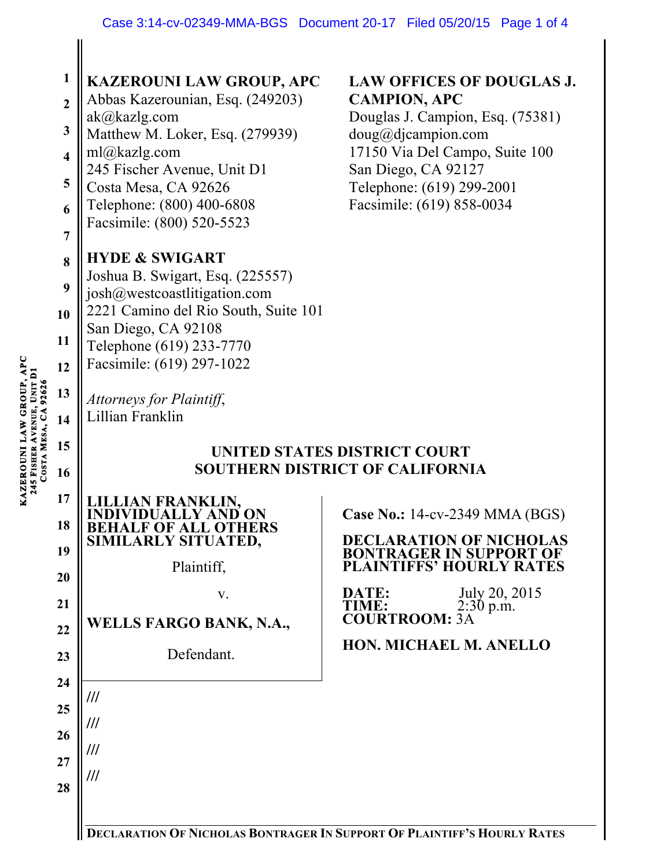| $\mathbf{1}$            | <b>KAZEROUNI LAW GROUP, APC</b>                                        | <b>LAW OFFICES OF DOUGLAS J.</b>                                 |
|-------------------------|------------------------------------------------------------------------|------------------------------------------------------------------|
| $\overline{2}$          | Abbas Kazerounian, Esq. (249203)                                       | <b>CAMPION, APC</b>                                              |
| 3                       | ak@kazlg.com<br>Matthew M. Loker, Esq. (279939)                        | Douglas J. Campion, Esq. (75381)<br>doug@djaampion.com           |
| $\overline{\mathbf{4}}$ | ml@kazlg.com                                                           | 17150 Via Del Campo, Suite 100                                   |
| 5                       | 245 Fischer Avenue, Unit D1                                            | San Diego, CA 92127                                              |
|                         | Costa Mesa, CA 92626<br>Telephone: (800) 400-6808                      | Telephone: (619) 299-2001<br>Facsimile: (619) 858-0034           |
| 6                       | Facsimile: (800) 520-5523                                              |                                                                  |
| $\overline{7}$          |                                                                        |                                                                  |
| 8                       | <b>HYDE &amp; SWIGART</b><br>Joshua B. Swigart, Esq. (225557)          |                                                                  |
| 9                       | josh@westcoastlitigation.com                                           |                                                                  |
| 10                      | 2221 Camino del Rio South, Suite 101                                   |                                                                  |
| 11                      | San Diego, CA 92108<br>Telephone (619) 233-7770                        |                                                                  |
| 12                      | Facsimile: (619) 297-1022                                              |                                                                  |
| 13                      |                                                                        |                                                                  |
| 14                      | Attorneys for Plaintiff,<br>Lillian Franklin                           |                                                                  |
|                         |                                                                        |                                                                  |
| 15                      | UNITED STATES DISTRICT COURT<br><b>SOUTHERN DISTRICT OF CALIFORNIA</b> |                                                                  |
|                         |                                                                        |                                                                  |
| 16                      |                                                                        |                                                                  |
| 17                      | AN FRANKLIN.                                                           |                                                                  |
| 18                      |                                                                        | <b>Case No.: 14-cv-2349 MMA (BGS)</b>                            |
| 19                      | SIMILARLY SITUATED,                                                    | <b>DECLARATION OF NICHOLAS</b><br><b>BONTRAGER IN SUPPORT OF</b> |
| 20                      | Plaintiff,                                                             | <b>PLAINTIFFS' HOURLY RATES</b>                                  |
| 21                      | V.                                                                     | July 20, 2015<br>DATE:                                           |
| 22                      | <b>WELLS FARGO BANK, N.A.,</b>                                         | <b>TIME:</b><br>$2:30$ p.m.<br><b>COURTROOM: 3A</b>              |
| 23                      | Defendant.                                                             | <b>HON. MICHAEL M. ANELLO</b>                                    |
|                         |                                                                        |                                                                  |
| 24                      | ///                                                                    |                                                                  |
| 25                      | ///                                                                    |                                                                  |
| 26                      | ///                                                                    |                                                                  |
| 27                      | ///                                                                    |                                                                  |
| 28                      |                                                                        |                                                                  |

**DECLARATION OF NICHOLAS BONTRAGER IN SUPPORT OF PLAINTIFF'S HOURLY RATES**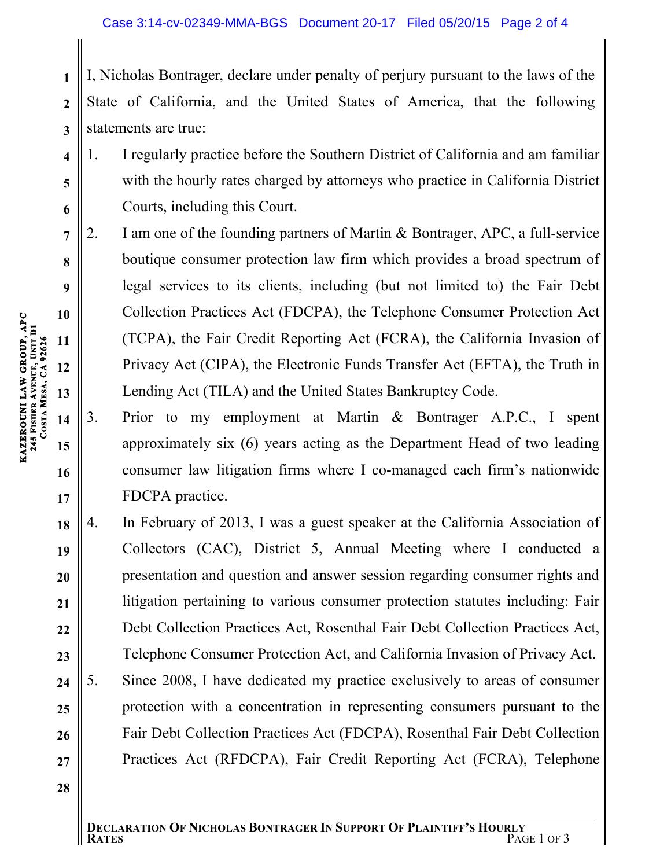State of California, and the United States of America, that the following statements are true:

1. I regularly practice before the Southern District of California and am familiar with the hourly rates charged by attorneys who practice in California District Courts, including this Court.

- **I, Nicholas Bontrager, declare under penalty of perjury pursuant to the laws of the State of California, and the United States of America, that the following statements are true:<br>
1. I regularly practice before the Southe** 2. I am one of the founding partners of Martin & Bontrager, APC, a full-service boutique consumer protection law firm which provides a broad spectrum of legal services to its clients, including (but not limited to) the Fair Debt Collection Practices Act (FDCPA), the Telephone Consumer Protection Act (TCPA), the Fair Credit Reporting Act (FCRA), the California Invasion of Privacy Act (CIPA), the Electronic Funds Transfer Act (EFTA), the Truth in Lending Act (TILA) and the United States Bankruptcy Code.
- 3. Prior to my employment at Martin & Bontrager A.P.C., I spent approximately six (6) years acting as the Department Head of two leading consumer law litigation firms where I co-managed each firm's nationwide FDCPA practice.
- **18 19 20 21 22 23 24 25 26 27** 4. In February of 2013, I was a guest speaker at the California Association of Collectors (CAC), District 5, Annual Meeting where I conducted a presentation and question and answer session regarding consumer rights and litigation pertaining to various consumer protection statutes including: Fair Debt Collection Practices Act, Rosenthal Fair Debt Collection Practices Act, Telephone Consumer Protection Act, and California Invasion of Privacy Act. 5. Since 2008, I have dedicated my practice exclusively to areas of consumer protection with a concentration in representing consumers pursuant to the Fair Debt Collection Practices Act (FDCPA), Rosenthal Fair Debt Collection Practices Act (RFDCPA), Fair Credit Reporting Act (FCRA), Telephone
- **28**

**1**

**2**

**3**

**4**

**5**

**6**

**7**

**8**

**9**

**10**

**11**

**12**

**13**

**14**

**15**

**16**

**17**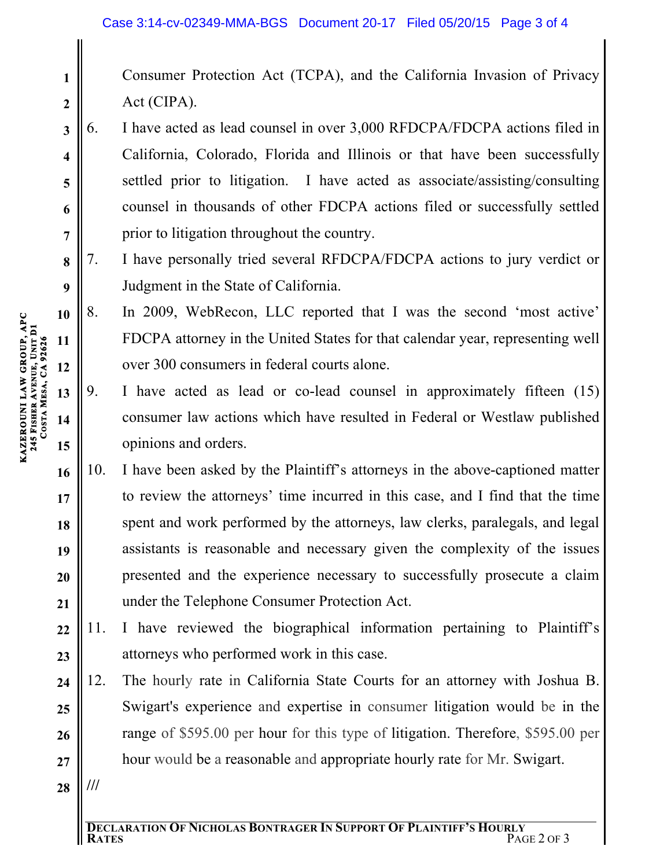- Consumer Protection Act (TCPA), and the California Invasion of Privacy Act (CIPA).
- 6. I have acted as lead counsel in over 3,000 RFDCPA/FDCPA actions filed in California, Colorado, Florida and Illinois or that have been successfully settled prior to litigation. I have acted as associate/assisting/consulting counsel in thousands of other FDCPA actions filed or successfully settled prior to litigation throughout the country.
- 7. I have personally tried several RFDCPA/FDCPA actions to jury verdict or Judgment in the State of California.
- **10 12** 8. In 2009, WebRecon, LLC reported that I was the second 'most active' FDCPA attorney in the United States for that calendar year, representing well over 300 consumers in federal courts alone.
	- 9. I have acted as lead or co-lead counsel in approximately fifteen (15) consumer law actions which have resulted in Federal or Westlaw published opinions and orders.
- **16 17 18 19 20 21** 10. I have been asked by the Plaintiff's attorneys in the above-captioned matter to review the attorneys' time incurred in this case, and I find that the time spent and work performed by the attorneys, law clerks, paralegals, and legal assistants is reasonable and necessary given the complexity of the issues presented and the experience necessary to successfully prosecute a claim under the Telephone Consumer Protection Act.
- **22 23** 11. I have reviewed the biographical information pertaining to Plaintiff's attorneys who performed work in this case.
- **24 25 26 27** 12. The hourly rate in California State Courts for an attorney with Joshua B. Swigart's experience and expertise in consumer litigation would be in the range of \$595.00 per hour for this type of litigation. Therefore, \$595.00 per hour would be a reasonable and appropriate hourly rate for Mr. Swigart.
- **28 ///**

**1**

**2**

**3**

**4**

**5**

**6**

**7**

**8**

**9**

**11**

**13**

**14**

**15**